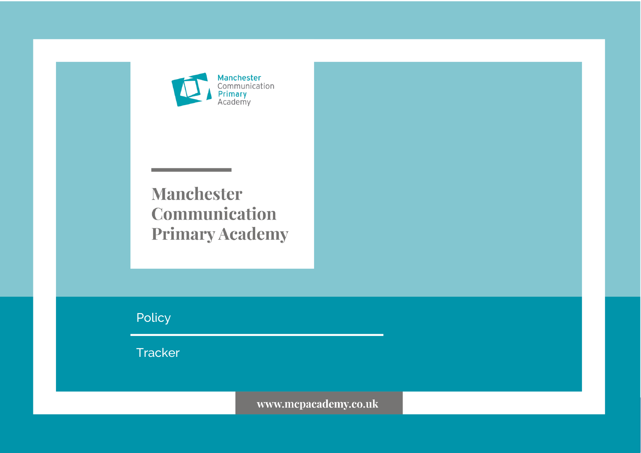

**Manchester** Communication **Primary Academy** 

Policy

**Tracker** 

www.mcpacademy.co.uk